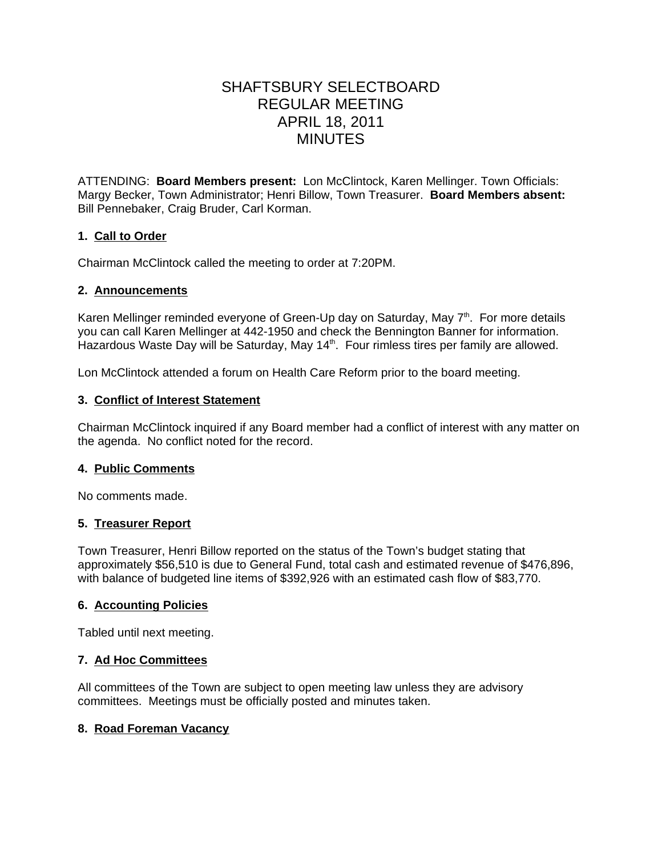# SHAFTSBURY SELECTBOARD REGULAR MEETING APRIL 18, 2011 MINUTES

ATTENDING: **Board Members present:** Lon McClintock, Karen Mellinger. Town Officials: Margy Becker, Town Administrator; Henri Billow, Town Treasurer. **Board Members absent:** Bill Pennebaker, Craig Bruder, Carl Korman.

# **1. Call to Order**

Chairman McClintock called the meeting to order at 7:20PM.

## **2. Announcements**

Karen Mellinger reminded everyone of Green-Up day on Saturday, May  $7<sup>th</sup>$ . For more details you can call Karen Mellinger at 442-1950 and check the Bennington Banner for information. Hazardous Waste Day will be Saturday, May 14<sup>th</sup>. Four rimless tires per family are allowed.

Lon McClintock attended a forum on Health Care Reform prior to the board meeting.

## **3. Conflict of Interest Statement**

Chairman McClintock inquired if any Board member had a conflict of interest with any matter on the agenda. No conflict noted for the record.

### **4. Public Comments**

No comments made.

### **5. Treasurer Report**

Town Treasurer, Henri Billow reported on the status of the Town's budget stating that approximately \$56,510 is due to General Fund, total cash and estimated revenue of \$476,896, with balance of budgeted line items of \$392,926 with an estimated cash flow of \$83,770.

### **6. Accounting Policies**

Tabled until next meeting.

### **7. Ad Hoc Committees**

All committees of the Town are subject to open meeting law unless they are advisory committees. Meetings must be officially posted and minutes taken.

# **8. Road Foreman Vacancy**